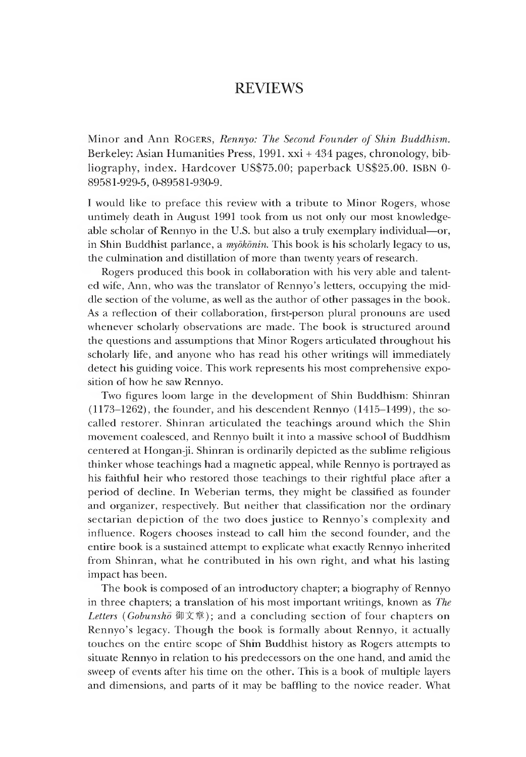## REVIEWS

Minor and Ann Rogers, *Rennyo: The Second Founder of Shin Buddhism.* Berkeley: Asian Humanities Press, 1991. xxi + 434 pages, chronology, bibliography, index. Hardcover US\$75.00; paperback US\$25.00. ISBN 0- 89581-929-5, 0-89581-930-9.

I would like to preface this review with a tribute to Minor Rogers, whose untimely death in August 1991 took from us not only our most knowledgeable scholar of Rennyo in the U.S. but also a truly exemplary individual—or, in Shin Buddhist parlance, a *myōkōnin*. This book is his scholarly legacy to us, the culmination and distillation of more than twenty years of research.

Rogers produced this book in collaboration with his very able and talented wife, Ann, who was the translator of Rennyo's letters, occupying the middle section of the volume, as well as the author of other passages in the book. As a reflection of their collaboration, first-person plural pronouns are used whenever scholarly observations are made. The book is structured around the questions and assumptions that Minor Rogers articulated throughout his scholarly life, and anyone who has read his other writings will immediately detect his guiding voice. This work represents his most comprehensive exposition of how he saw Rennyo.

Two figures loom large in the development of Shin Buddhism: Shinran (1173-1262), the founder, and his descendent Rennyo (1415-1499), the socalled restorer. Shinran articulated the teachings around which the Shin movement coalesced, and Rennyo built it into a massive school of Buddhism centered at Hongan-ji. Shinran is ordinarily depicted as the sublime religious thinker whose teachings had a magnetic appeal, while Rennyo is portrayed as his faithful heir who restored those teachings to their rightful place after a period of decline. In Weberian terms, they might be classified as founder and organizer, respectively. But neither that classification nor the ordinary sectarian depiction of the two does justice to Rennyo's complexity and influence. Rogers chooses instead to call him the second founder, and the entire book is a sustained attempt to explicate what exactly Rennyo inherited from Shinran, what he contributed in his own right, and what his lasting impact has been.

The book is composed of an introductory chapter; a biography of Rennyo in three chapters; a translation of his most important writings, known as *The* Letters (Gobunsho 御文章); and a concluding section of four chapters on Rennyo's legacy. Though the book is formally about Rennyo, it actually touches on the entire scope of Shin Buddhist history as Rogers attempts to situate Rennyo in relation to his predecessors on the one hand, and amid the sweep of events after his time on the other. This is a book of multiple layers and dimensions, and parts of it may be baffling to the novice reader. What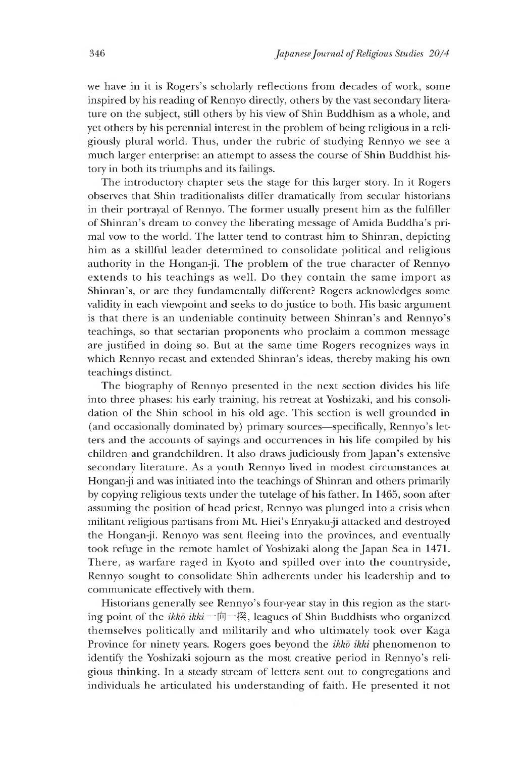we have in it is Rogers's scholarly reflections from decades of work, some inspired by his reading of Rennyo directly, others by the vast secondary literature on the subject, still others by his view of Shin Buddhism as a whole, and yet others by his perennial interest in the problem of being religious in a religiously plural world. Thus, under the rubric of studying Rennyo we see a much larger enterprise: an attempt to assess the course of Shin Buddhist history in both its triumphs and its failings.

The introductory chapter sets the stage for this larger story. In it Rogers observes that Shin traditionalists differ dramatically from secular historians in their portrayal of Rennyo. The former usually present him as the fulfiller of Shinran's dream to convey the liberating message of Amida Buddha's primal vow to the world. The latter tend to contrast him to Shinran, depicting him as a skillful leader determined to consolidate political and religious authority in the Hongan-ji. The problem of the true character of Rennyo extends to his teachings as well. Do they contain the same import as Shinran's, or are they fundamentally different? Rogers acknowledges some validity in each viewpoint and seeks to do justice to both. His basic argument is that there is an undeniable continuity between Shinran's and Rennyo's teachings, so that sectarian proponents who proclaim a common message are justified in doing so. But at the same time Rogers recognizes ways in which Rennyo recast and extended Shinran's ideas, thereby making his own teachings distinct.

The biography of Rennyo presented in the next section divides his life into three phases: his early training, his retreat at Yoshizaki, and his consolidation of the Shin school in his old age. This section is well grounded in (and occasionally dominated by) primary sources—specifically, Rennyo's letters and the accounts of sayings and occurrences in his life compiled by his children and grandchildren. It also draws judiciously from Japan's extensive secondary literature. As a youth Rennyo lived in modest circumstances at Hongan-ji and was initiated into the teachings of Shinran and others primarily by copying religious texts under the tutelage of his father. In 1465, soon after assuming the position of head priest, Rennyo was plunged into a crisis when militant religious partisans from Mt. Hiei's Enryaku-ji attacked and destroyed the Hongan-ji. Rennyo was sent fleeing into the provinces, and eventually took refuge in the remote hamlet of Yoshizaki along the Japan Sea in 1471. There, as warfare raged in Kyoto and spilled over into the countryside, Rennyo sought to consolidate Shin adherents under his leadership and to communicate effectively with them.

Historians generally see Rennyo's four-year stay in this region as the starting point of the *ikko ikki* 一向一揆, leagues of Shin Buddhists who organized themselves politically and militarily and who ultimately took over Kaga Province for ninety years. Rogers goes beyond the *ikko ikki* phenomenon to identify the Yosnizaki sojourn as the most creative period in Rennyo's religious thinking. In a steady stream of letters sent out to congregations and individuals he articulated his understanding of faith. He presented it not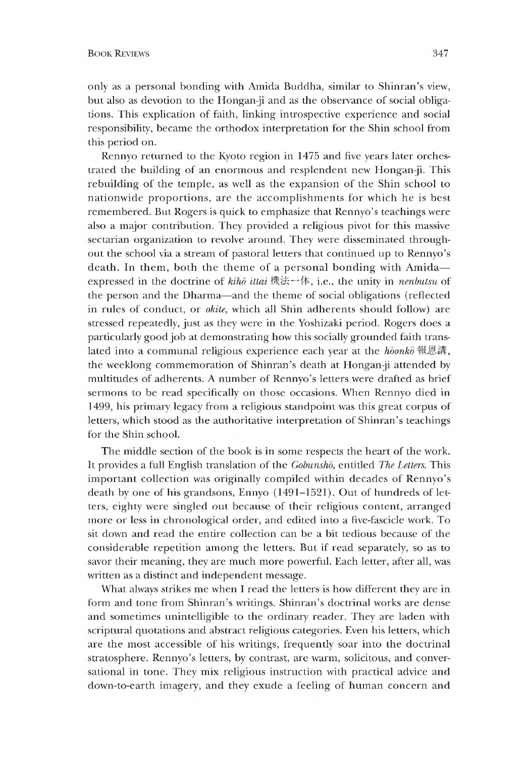only as a personal bonding with Amida Buddha, similar to Shinran's view, but also as devotion to the Hongan-ji and as the observance of social obligations. This explication of faith, linking introspective experience and social responsibility, became the orthodox interpretation for the Shin school from this period on.

Rennyo returned to the Kyoto region in 1475 and five years later orchestrated the building of an enormous and resplendent new Hongan-ji. This rebuilding of the temple, as well as the expansion of the Shin school to nationwide proportions, are the accomplishments for which he is best remembered. But Rogers is quick to emphasize that Rennyo's teachings were also a major contribution. They provided a religious pivot for this massive sectarian organization to revolve around. They were disseminated throughout the school via a stream of pastoral letters that continued up to Rennyo's death. In them, both the theme of a personal bonding with Amida expressed in the doctrine of *kihd ittai* 機法—体,i.e., the unity in *nenbutsu* of the person and the Dharma—and the theme of social obligations (reflected in rules of conduct, or *okite*, which all Shin adherents should follow) are stressed repeatedly, just as they were in the Yoshizaki period. Rogers does a particularly good job at demonstrating how this socially grounded faith translated into a communal religious experience each year at the *hoonko* 報恩講, the weeklong commemoration of Shinran's death at Hongan-ji attended by multitudes of adherents. A number of Rennyo's letters were drafted as brief sermons to be read specifically on those occasions. When Rennyo died in 1499, his primary legacy from a religious standpoint was this great corpus of letters, which stood as the authoritative interpretation of Shinran's teachings for the Shin school.

The middle section of the book is in some respects the heart of the work. It provides a full English translation of the *Gobunsho,* entitled *The Letters.* This important collection was originally compiled within decades of Rennyo's death by one of his grandsons, Ennyo (1491-1521). Out of hundreds of letters, eighty were singled out because of their religious content, arranged more or less in chronological order, and edited into a five-fascicle work. To sit down and read the entire collection can be a bit tedious because of the considerable repetition among the letters. But if read separately, so as to savor their meaning, they are much more powerful. Each letter, after all, was written as a distinct and independent message.

What always strikes me when I read the letters is how different they are in form and tone from shinran's writings. Shinran's doctrinal works are dense and sometimes unintelligible to the ordinary reader. They are laden with scriptural quotations and abstract religious categories. Even his letters, which are the most accessible of his writings, frequently soar into the doctrinal stratosphere. Rennyo's letters, by contrast, are warm, solicitous, and conversational in tone. They mix religious instruction with practical advice and down-to-earth imagery, and they exude a feeling of human concern and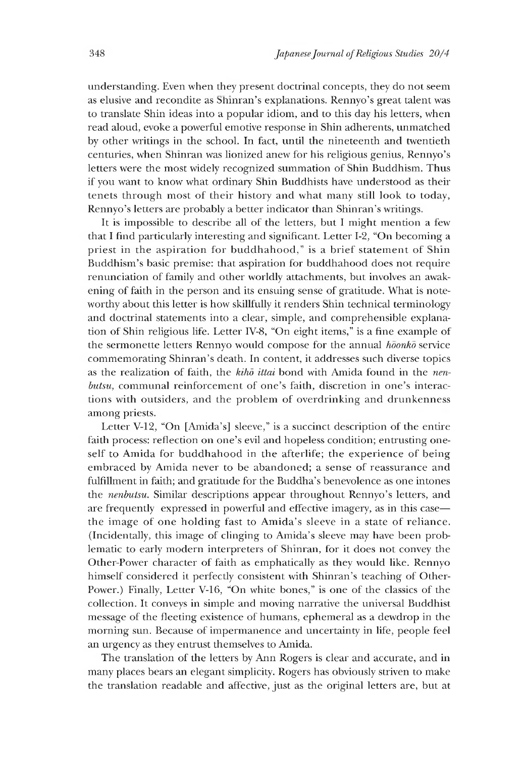understanding. Even when they present doctrinal concepts, they do not seem as elusive and recondite as shinran?s explanations. Rennyo's great talent was to translate Shin ideas into a popular idiom, and to this day his letters, when read aloud, evoke a powerful emotive response in Shin adherents, unmatched by other writings in the school. In fact, until the nineteenth and twentieth centuries, when shinran was lionized anew for his religious genius, Rennyo's letters were the most widely recognized summation of Shin Buddhism. Thus if you want to know what ordinary Shin Buddhists have understood as their tenets through most of their history and what many still look to today, Rennyo's letters are probably a better indicator than Shinran's writings.

It is impossible to describe all of the letters, but I might mention a few that I find particularly interesting and significant. Letter 1-2, "On becoming a priest in the aspiration for buddhahood," is a brief statement of Shin Buddhism's basic premise: that aspiration for buddhahood does not require renunciation of family and other worldly attachments, but involves an awakening of faith in the person and its ensuing sense of gratitude. What is noteworthy about this letter is how skillfully it renders Shin technical terminology and doctrinal statements into a clear, simple, and comprehensible explanation of Shin religious life. Letter IV-8, "On eight items," is a fine example of the sermonette letters Rennyo would compose for the annual *hoonko* service commemorating Shinran's death. In content, it addresses such diverse topics as the realization of faith, the *kihd ittai* bond with Amida found in the *nenbutsu*, communal reinforcement of one's faith, discretion in one's interactions with outsiders, and the problem of overdrinking and drunkenness among priests.

Letter V-12, "On [Amida's] sleeve," is a succinct description of the entire faith process: reflection on one's evil and hopeless condition; entrusting oneself to Amida for buddhahood in the afterlife; the experience of being embraced by Amida never to be abandoned; a sense of reassurance and fulfillment in faith; and gratitude for the Buddha's benevolence as one intones the *nenbutsu.* Similar descriptions appear throughout Rennyo's letters, and are frequently expressed in powerful and effective imagery, as in this case the image of one holding fast to Amida's sleeve in a state of reliance. (Incidentally, this image of clinging to Amida's sleeve may have been problematic to early modern interpreters of shinran, for it does not convey the Other-Power character of faith as emphatically as they would like. Rennyo himself considered it perfectly consistent with Shinran's teaching of Other-Power.) Finally, Letter V-16, "On white bones," is one of the classics of the collection. It conveys in simple and moving narrative the universal Buddhist message of the fleeting existence of humans, ephemeral as a dewdrop in the morning sun. Because of impermanence and uncertainty in life, people feel an urgency as they entrust themselves to Amida.

The translation of the letters by Ann Rogers is clear and accurate, and in many places bears an elegant simplicity. Rogers has obviously striven to make the translation readable and affective, just as the original letters are, but at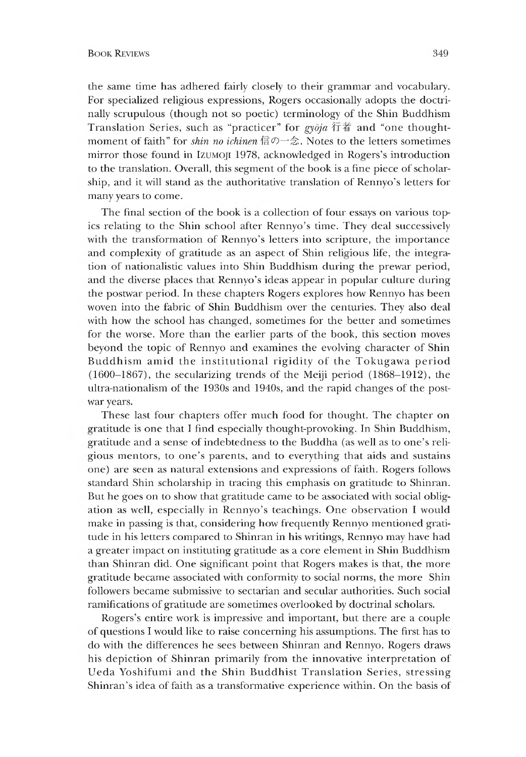the same time has adhered fairly closely to their grammar and vocabulary. For specialized religious expressions, Rogers occasionally adopts the doctrinally scrupulous (though not so poetic) terminology of the Shin Buddhism Translation Series, such as "practicer" for *gyoja* 行者 and "one thoughtmoment of faith" for *shin no ichinen* 信の—念. Notes to the letters sometimes mirror those found in Izumoji 1978, acknowledged in Rogers's introduction to the translation. Overall, this segment of the book is a fine piece of scholarship, and it will stand as the authoritative translation of Rennyo's letters for many years to come.

The final section of the booK is a collection of four essays on various topics relating to the Shin school after Rennyo's time. Ihey deal successively with the transformation of Rennyo's letters into scripture, the importance and complexity of gratitude as an aspect of Shin religious life, the integration of nationalistic values into Shin Buddhism during the prewar period, and the diverse places that Rennyo's ideas appear in popular culture during the postwar period. In these chapters Rogers explores how Rennyo has been woven into the fabric of Shin Buddhism over the centuries. They also deal with how the school has changed, sometimes for the better and sometimes for the worse. More than the earlier parts of the book, this section moves beyond the topic of Rennyo and examines the evolving character of Shin Buddhism amid the institutional rigidity of the Tokugawa period (1600-1867), the secularizing trends of the Meiji period (1868-1912), the ultra-nationalism of the 1930s and 1940s, and the rapid changes of the postwar years.

These last four chapters offer much food for thought. The chapter on gratitude is one that I find especially thought-provoking. In Shin Buddhism, gratitude and a sense of indebtedness to the Buddha (as well as to one's religious mentors, to one's parents, and to everything that aids and sustains one) are seen as natural extensions and expressions of raith. Rogers follows standard Shin scholarship in tracing this emphasis on gratitude to Shinran. But he goes on to show that gratitude came to be associated with social obligation as well, especially in Rennyo's teachings. One observation I would make in passing is that, considering how frequently Rennyo mentioned gratitude in his letters compared to Sninran in his writings, Rennyo may have had a greater impact on instituting gratitude as a core element in Shin Buddhism than Shinran did. One significant point that Rogers makes is that, the more gratitude became associated with conformity to social norms, the more Shin followers became submissive to sectarian and secular authorities. Such social ramifications of gratitude are sometimes overlooked by doctrinal scholars.

Rogers's entire work is impressive and important, but there are a couple of questions I would like to raise concerning his assumptions. The first has to do with the differences he sees between Shinran and Rennyo. Rogers draws his depiction of Shinran primarily from the innovative interpretation of Ueda Yoshifumi and the Shin Buddhist Translation Series, stressing Shinran's idea of faith as a transformative experience within. On the basis of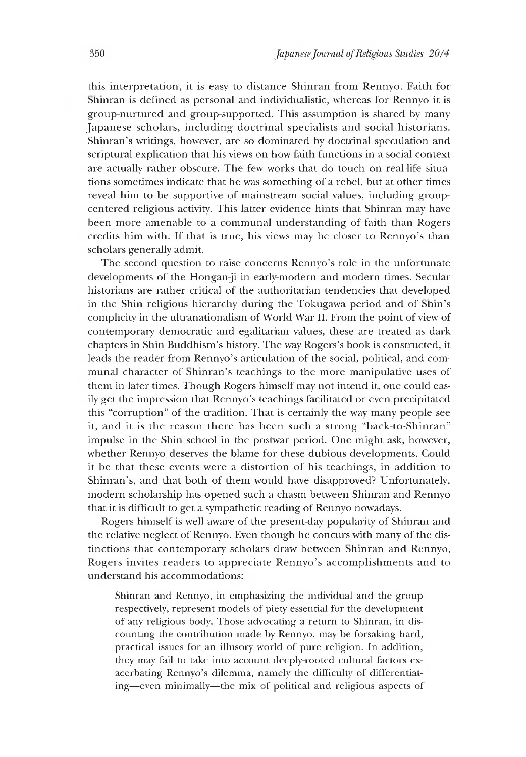this interpretation, it is easy to distance Shinran from Rennyo. Faith for shinran is defined as personal and individualistic, whereas for Rennyo it is group-nurtured and group-supported. Ihis assumption is shared by many Japanese scholars, including doctrinal specialists and social historians. Shinran's writings, however, are so dominated by doctrinal speculation and scriptural explication that his views on how faith functions in a social context are actually rather obscure. The few works that do touch on real-life situations sometimes indicate that he was something of a rebel, but at other times reveal him to be supportive of mainstream social values, including groupcentered religious activity. This latter evidence hints that Shinran may have been more amenable to a communal understanding of faith than Rogers credits him with. If that is true, his views may be closer to Rennyo's than scholars generally admit.

The second question to raise concerns Rennyo's role in the unfortunate developments of the Hongan-ji in early-modern and modern times. Secular historians are rather critical of the authoritarian tendencies that developed in the Shin religious hierarchy during the Tokugawa period and of shin's complicity in the ultranationalism of World War II. From the point of view of contemporary democratic and egalitarian values, these are treated as dark chapters in Shin Buddhism's history. The way Rogers's book is constructed, it leads the reader from Rennyo's articulation of the social, political, and communal character of Shinran's teachings to the more manipulative uses of them in later times. Though Rogers himself may not intend it, one could easily get the impression that Rennyo's teachings facilitated or even precipitated this "corruption" of the tradition. That is certainly the way many people see it, and it is the reason there has been such a strong "back-to-Shinran" impulse in the Shin school in the postwar period. One might ask, however, whether Rennyo deserves the blame for these dubious developments. Could it be that these events were a distortion of his teachings, in addition to Shinran's, and that both of them would have disapproved? Unfortunately, modern scholarship has opened such a chasm between Shinran and Rennyo that it is difficult to get a sympathetic reading of Rennyo nowadays.

Rogers himself is well aware of the present-day popularity of Shinran and the relative neglect of Rennyo. Even though he concurs with many of the distinctions that contemporary scholars draw between shinran and Rennyo, Rogers invites readers to appreciate Rennyo's accomplishments and to understand his accommodations:

Shinran and Rennyo, in emphasizing the individual and the group respectively, represent models of piety essential for the development of any religious body. Those advocating a return to Shinran, in discounting the contribution made by Rennyo, may be forsaking hard, practical issues for an illusory world of pure religion. In addition, they may fail to take into account deeply-rooted cultural factors exacerbating Rennyo's dilemma, namely the difficulty of differentiating—even minimally—the mix of political and religious aspects of